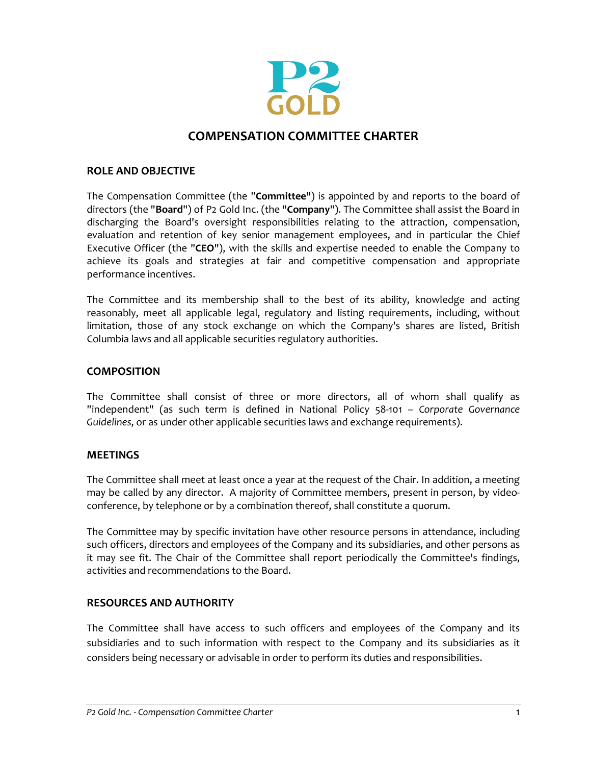

# **COMPENSATION COMMITTEE CHARTER**

#### **ROLE AND OBJECTIVE**

The Compensation Committee (the "**Committee**") is appointed by and reports to the board of directors (the "**Board**") of P2 Gold Inc. (the "**Company**"). The Committee shall assist the Board in discharging the Board's oversight responsibilities relating to the attraction, compensation, evaluation and retention of key senior management employees, and in particular the Chief Executive Officer (the "**CEO**"), with the skills and expertise needed to enable the Company to achieve its goals and strategies at fair and competitive compensation and appropriate performance incentives.

The Committee and its membership shall to the best of its ability, knowledge and acting reasonably, meet all applicable legal, regulatory and listing requirements, including, without limitation, those of any stock exchange on which the Company's shares are listed, British Columbia laws and all applicable securities regulatory authorities.

#### **COMPOSITION**

The Committee shall consist of three or more directors, all of whom shall qualify as "independent" (as such term is defined in National Policy 58-101 – *Corporate Governance Guidelines*, or as under other applicable securities laws and exchange requirements).

#### **MEETINGS**

The Committee shall meet at least once a year at the request of the Chair. In addition, a meeting may be called by any director. A majority of Committee members, present in person, by videoconference, by telephone or by a combination thereof, shall constitute a quorum.

The Committee may by specific invitation have other resource persons in attendance, including such officers, directors and employees of the Company and its subsidiaries, and other persons as it may see fit. The Chair of the Committee shall report periodically the Committee's findings, activities and recommendations to the Board.

#### **RESOURCES AND AUTHORITY**

The Committee shall have access to such officers and employees of the Company and its subsidiaries and to such information with respect to the Company and its subsidiaries as it considers being necessary or advisable in order to perform its duties and responsibilities.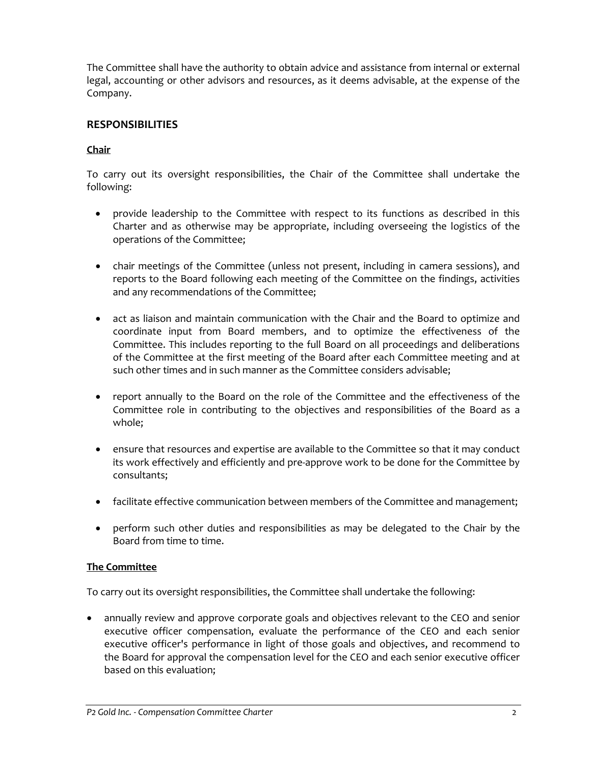The Committee shall have the authority to obtain advice and assistance from internal or external legal, accounting or other advisors and resources, as it deems advisable, at the expense of the Company.

## **RESPONSIBILITIES**

### **Chair**

To carry out its oversight responsibilities, the Chair of the Committee shall undertake the following:

- provide leadership to the Committee with respect to its functions as described in this Charter and as otherwise may be appropriate, including overseeing the logistics of the operations of the Committee;
- chair meetings of the Committee (unless not present, including in camera sessions), and reports to the Board following each meeting of the Committee on the findings, activities and any recommendations of the Committee;
- act as liaison and maintain communication with the Chair and the Board to optimize and coordinate input from Board members, and to optimize the effectiveness of the Committee. This includes reporting to the full Board on all proceedings and deliberations of the Committee at the first meeting of the Board after each Committee meeting and at such other times and in such manner as the Committee considers advisable;
- report annually to the Board on the role of the Committee and the effectiveness of the Committee role in contributing to the objectives and responsibilities of the Board as a whole;
- ensure that resources and expertise are available to the Committee so that it may conduct its work effectively and efficiently and pre-approve work to be done for the Committee by consultants;
- facilitate effective communication between members of the Committee and management;
- perform such other duties and responsibilities as may be delegated to the Chair by the Board from time to time.

#### **The Committee**

To carry out its oversight responsibilities, the Committee shall undertake the following:

• annually review and approve corporate goals and objectives relevant to the CEO and senior executive officer compensation, evaluate the performance of the CEO and each senior executive officer's performance in light of those goals and objectives, and recommend to the Board for approval the compensation level for the CEO and each senior executive officer based on this evaluation;